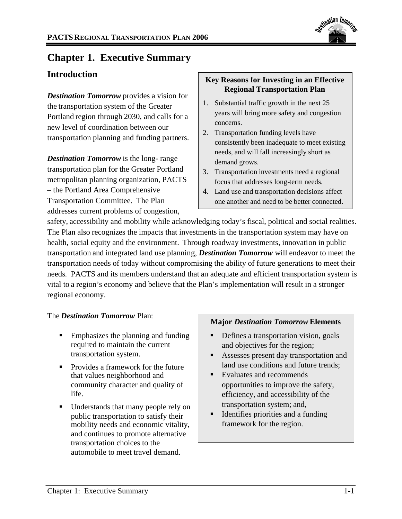

# **Chapter 1. Executive Summary**

### **Introduction**

*Destination Tomorrow* provides a vision for the transportation system of the Greater Portland region through 2030, and calls for a new level of coordination between our transportation planning and funding partners.

*Destination Tomorrow* is the long- range transportation plan for the Greater Portland metropolitan planning organization, PACTS – the Portland Area Comprehensive Transportation Committee. The Plan addresses current problems of congestion,

#### **Key Reasons for Investing in an Effective Regional Transportation Plan**

- 1. Substantial traffic growth in the next 25 years will bring more safety and congestion concerns.
- 2. Transportation funding levels have consistently been inadequate to meet existing needs, and will fall increasingly short as demand grows.
- 3. Transportation investments need a regional focus that addresses long-term needs.
- 4. Land use and transportation decisions affect one another and need to be better connected.

safety, accessibility and mobility while acknowledging today's fiscal, political and social realities. The Plan also recognizes the impacts that investments in the transportation system may have on health, social equity and the environment. Through roadway investments, innovation in public transportation and integrated land use planning, *Destination Tomorrow* will endeavor to meet the transportation needs of today without compromising the ability of future generations to meet their needs. PACTS and its members understand that an adequate and efficient transportation system is vital to a region's economy and believe that the Plan's implementation will result in a stronger regional economy.

#### The *Destination Tomorrow* Plan:

- **Emphasizes the planning and funding** required to maintain the current transportation system.
- Provides a framework for the future that values neighborhood and community character and quality of life.
- Understands that many people rely on public transportation to satisfy their mobility needs and economic vitality, and continues to promote alternative transportation choices to the automobile to meet travel demand.

#### **Major** *Destination Tomorrow* **Elements**

- Defines a transportation vision, goals and objectives for the region;
- Assesses present day transportation and land use conditions and future trends;
- Evaluates and recommends opportunities to improve the safety, efficiency, and accessibility of the transportation system; and,
- Identifies priorities and a funding framework for the region.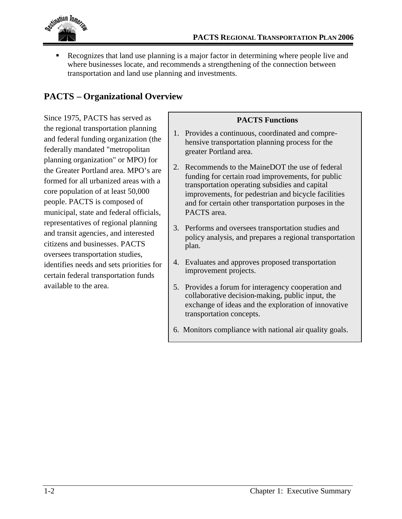

 Recognizes that land use planning is a major factor in determining where people live and where businesses locate, and recommends a strengthening of the connection between transportation and land use planning and investments.

# **PACTS – Organizational Overview**

Since 1975, PACTS has served as the regional transportation planning and federal funding organization (the federally mandated "metropolitan planning organization" or MPO) for the Greater Portland area. MPO's are formed for all urbanized areas with a core population of at least 50,000 people. PACTS is composed of municipal, state and federal officials, representatives of regional planning and transit agencies, and interested citizens and businesses. PACTS oversees transportation studies, identifies needs and sets priorities for certain federal transportation funds available to the area.

#### **PACTS Functions**

- 1. Provides a continuous, coordinated and comprehensive transportation planning process for the greater Portland area.
- 2. Recommends to the MaineDOT the use of federal funding for certain road improvements, for public transportation operating subsidies and capital improvements, for pedestrian and bicycle facilities and for certain other transportation purposes in the PACTS area.
- 3. Performs and oversees transportation studies and policy analysis, and prepares a regional transportation plan.
- 4. Evaluates and approves proposed transportation improvement projects.
- 5. Provides a forum for interagency cooperation and collaborative decision-making, public input, the exchange of ideas and the exploration of innovative transportation concepts.
- 6. Monitors compliance with national air quality goals.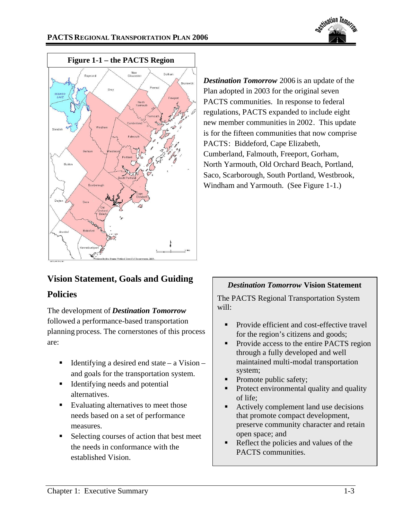



*Destination Tomorrow* 2006 is an update of the Plan adopted in 2003 for the original seven PACTS communities. In response to federal regulations, PACTS expanded to include eight new member communities in 2002. This update is for the fifteen communities that now comprise PACTS: Biddeford, Cape Elizabeth, Cumberland, Falmouth, Freeport, Gorham, North Yarmouth, Old Orchard Beach, Portland, Saco, Scarborough, South Portland, Westbrook, Windham and Yarmouth. (See Figure 1-1.)

## **Vision Statement, Goals and Guiding**

### **Policies**

The development of *Destination Tomorrow* followed a performance-based transportation planning process. The cornerstones of this process are:

- Identifying a desired end state a Vision and goals for the transportation system.
- Identifying needs and potential alternatives.
- Evaluating alternatives to meet those needs based on a set of performance measures.
- Selecting courses of action that best meet the needs in conformance with the established Vision.

### *Destination Tomorrow* **Vision Statement**

The PACTS Regional Transportation System will:

- Provide efficient and cost-effective travel for the region's citizens and goods;
- Provide access to the entire PACTS region through a fully developed and well maintained multi-modal transportation system;
- Promote public safety;
- Protect environmental quality and quality of life;
- Actively complement land use decisions that promote compact development, preserve community character and retain open space; and
- Reflect the policies and values of the PACTS communities.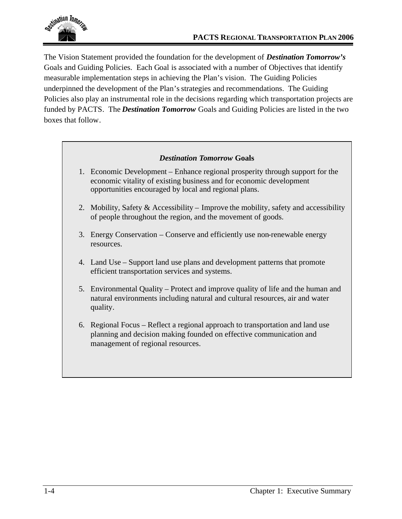

The Vision Statement provided the foundation for the development of *Destination Tomorrow's* Goals and Guiding Policies. Each Goal is associated with a number of Objectives that identify measurable implementation steps in achieving the Plan's vision. The Guiding Policies underpinned the development of the Plan's strategies and recommendations. The Guiding Policies also play an instrumental role in the decisions regarding which transportation projects are funded by PACTS. The *Destination Tomorrow* Goals and Guiding Policies are listed in the two boxes that follow.

#### *Destination Tomorrow* **Goals**

- 1. Economic Development Enhance regional prosperity through support for the economic vitality of existing business and for economic development opportunities encouraged by local and regional plans.
- 2. Mobility, Safety & Accessibility Improve the mobility, safety and accessibility of people throughout the region, and the movement of goods.
- 3. Energy Conservation Conserve and efficiently use non-renewable energy resources.
- 4. Land Use Support land use plans and development patterns that promote efficient transportation services and systems.
- 5. Environmental Quality Protect and improve quality of life and the human and natural environments including natural and cultural resources, air and water quality.
- 6. Regional Focus Reflect a regional approach to transportation and land use planning and decision making founded on effective communication and management of regional resources.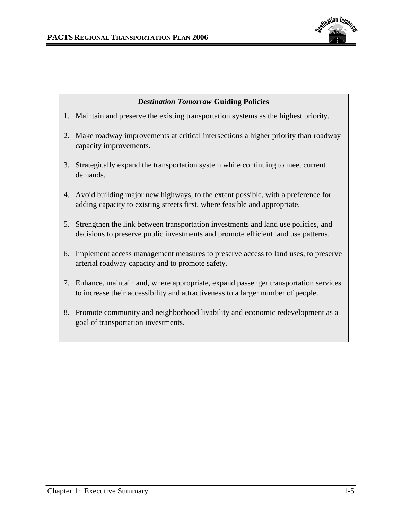

#### *Destination Tomorrow* **Guiding Policies**

- 1. Maintain and preserve the existing transportation systems as the highest priority.
- 2. Make roadway improvements at critical intersections a higher priority than roadway capacity improvements.
- 3. Strategically expand the transportation system while continuing to meet current demands.
- 4. Avoid building major new highways, to the extent possible, with a preference for adding capacity to existing streets first, where feasible and appropriate.
- 5. Strengthen the link between transportation investments and land use policies, and decisions to preserve public investments and promote efficient land use patterns.
- 6. Implement access management measures to preserve access to land uses, to preserve arterial roadway capacity and to promote safety.
- 7. Enhance, maintain and, where appropriate, expand passenger transportation services to increase their accessibility and attractiveness to a larger number of people.
- 8. Promote community and neighborhood livability and economic redevelopment as a goal of transportation investments.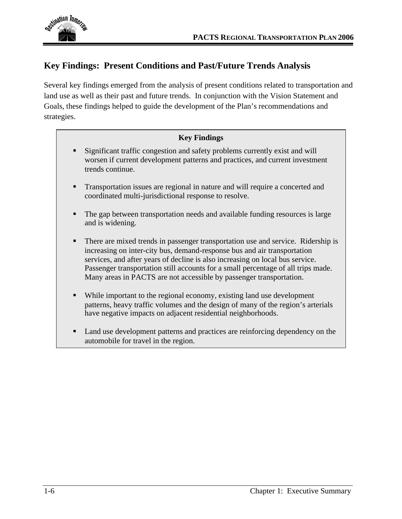

### **Key Findings: Present Conditions and Past/Future Trends Analysis**

Several key findings emerged from the analysis of present conditions related to transportation and land use as well as their past and future trends. In conjunction with the Vision Statement and Goals, these findings helped to guide the development of the Plan's recommendations and strategies.

#### **Key Findings**

- Significant traffic congestion and safety problems currently exist and will worsen if current development patterns and practices, and current investment trends continue.
- Transportation issues are regional in nature and will require a concerted and coordinated multi-jurisdictional response to resolve.
- The gap between transportation needs and available funding resources is large and is widening.
- **There are mixed trends in passenger transportation use and service. Ridership is** increasing on inter-city bus, demand-response bus and air transportation services, and after years of decline is also increasing on local bus service. Passenger transportation still accounts for a small percentage of all trips made. Many areas in PACTS are not accessible by passenger transportation.
- While important to the regional economy, existing land use development patterns, heavy traffic volumes and the design of many of the region's arterials have negative impacts on adjacent residential neighborhoods.
- Land use development patterns and practices are reinforcing dependency on the automobile for travel in the region.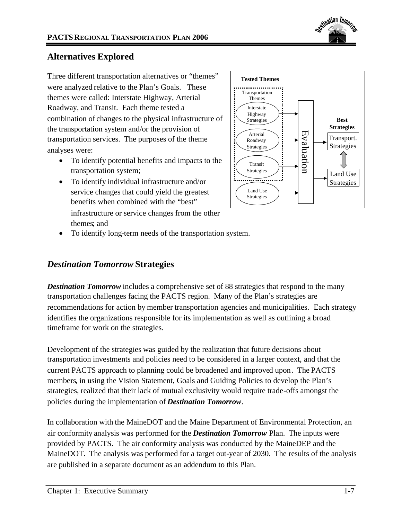

### **Alternatives Explored**

Three different transportation alternatives or "themes" were analyzed relative to the Plan's Goals. These themes were called: Interstate Highway, Arterial Roadway, and Transit. Each theme tested a combination of changes to the physical infrastructure of the transportation system and/or the provision of transportation services. The purposes of the theme analyses were:

- To identify potential benefits and impacts to the transportation system;
- To identify individual infrastructure and/or service changes that could yield the greatest benefits when combined with the "best" infrastructure or service changes from the other themes; and



To identify long-term needs of the transportation system.

### *Destination Tomorrow* **Strategies**

**Destination Tomorrow** includes a comprehensive set of 88 strategies that respond to the many transportation challenges facing the PACTS region. Many of the Plan's strategies are recommendations for action by member transportation agencies and municipalities. Each strategy identifies the organizations responsible for its implementation as well as outlining a broad timeframe for work on the strategies.

Development of the strategies was guided by the realization that future decisions about transportation investments and policies need to be considered in a larger context, and that the current PACTS approach to planning could be broadened and improved upon. The PACTS members, in using the Vision Statement, Goals and Guiding Policies to develop the Plan's strategies, realized that their lack of mutual exclusivity would require trade-offs amongst the policies during the implementation of *Destination Tomorrow*.

In collaboration with the MaineDOT and the Maine Department of Environmental Protection, an air conformity analysis was performed for the *Destination Tomorrow* Plan. The inputs were provided by PACTS. The air conformity analysis was conducted by the MaineDEP and the MaineDOT. The analysis was performed for a target out-year of 2030. The results of the analysis are published in a separate document as an addendum to this Plan.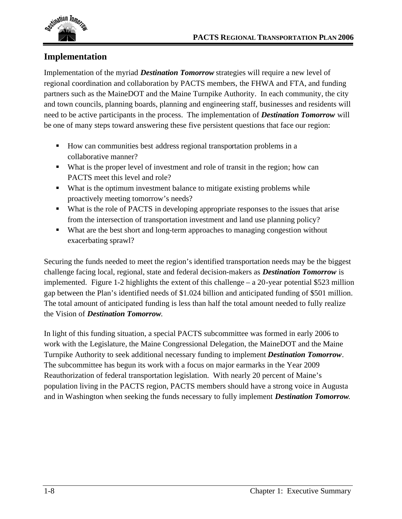

### **Implementation**

Implementation of the myriad *Destination Tomorrow* strategies will require a new level of regional coordination and collaboration by PACTS members, the FHWA and FTA, and funding partners such as the MaineDOT and the Maine Turnpike Authority. In each community, the city and town councils, planning boards, planning and engineering staff, businesses and residents will need to be active participants in the process. The implementation of *Destination Tomorrow* will be one of many steps toward answering these five persistent questions that face our region:

- How can communities best address regional transportation problems in a collaborative manner?
- What is the proper level of investment and role of transit in the region; how can PACTS meet this level and role?
- What is the optimum investment balance to mitigate existing problems while proactively meeting tomorrow's needs?
- What is the role of PACTS in developing appropriate responses to the issues that arise from the intersection of transportation investment and land use planning policy?
- What are the best short and long-term approaches to managing congestion without exacerbating sprawl?

Securing the funds needed to meet the region's identified transportation needs may be the biggest challenge facing local, regional, state and federal decision-makers as *Destination Tomorrow* is implemented. Figure 1-2 highlights the extent of this challenge – a 20-year potential \$523 million gap between the Plan's identified needs of \$1.024 billion and anticipated funding of \$501 million. The total amount of anticipated funding is less than half the total amount needed to fully realize the Vision of *Destination Tomorrow*.

In light of this funding situation, a special PACTS subcommittee was formed in early 2006 to work with the Legislature, the Maine Congressional Delegation, the MaineDOT and the Maine Turnpike Authority to seek additional necessary funding to implement *Destination Tomorrow*. The subcommittee has begun its work with a focus on major earmarks in the Year 2009 Reauthorization of federal transportation legislation. With nearly 20 percent of Maine's population living in the PACTS region, PACTS members should have a strong voice in Augusta and in Washington when seeking the funds necessary to fully implement *Destination Tomorrow.*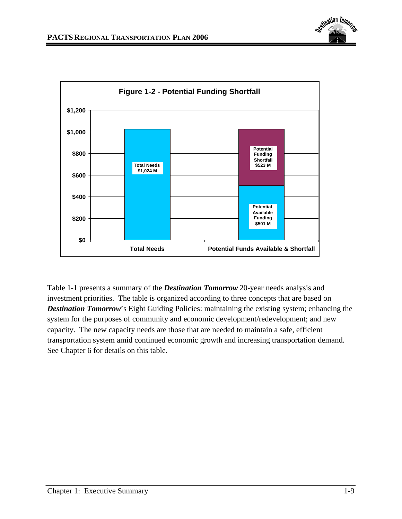



Table 1-1 presents a summary of the *Destination Tomorrow* 20-year needs analysis and investment priorities. The table is organized according to three concepts that are based on *Destination Tomorrow's* Eight Guiding Policies: maintaining the existing system; enhancing the system for the purposes of community and economic development/redevelopment; and new capacity. The new capacity needs are those that are needed to maintain a safe, efficient transportation system amid continued economic growth and increasing transportation demand. See Chapter 6 for details on this table.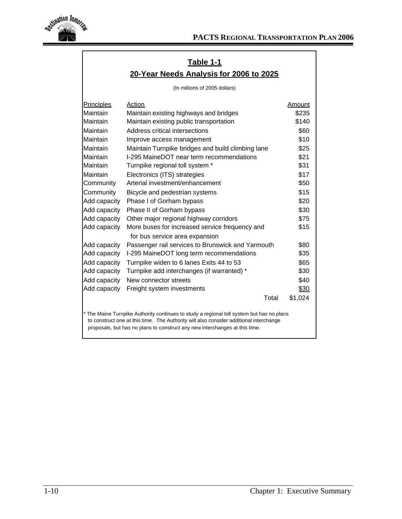

### **Table 1-1 20-Year Needs Analysis for 2006 to 2025**

(In millions of 2005 dollars)

| Principles   | Action                                                                                                                                                                                                                                                           | Amount  |
|--------------|------------------------------------------------------------------------------------------------------------------------------------------------------------------------------------------------------------------------------------------------------------------|---------|
| Maintain     | Maintain existing highways and bridges                                                                                                                                                                                                                           | \$235   |
| Maintain     | Maintain existing public transportation                                                                                                                                                                                                                          | \$140   |
| Maintain     | Address critical intersections                                                                                                                                                                                                                                   | \$60    |
| Maintain     | Improve access management                                                                                                                                                                                                                                        | \$10    |
| Maintain     | Maintain Turnpike bridges and build climbing lane                                                                                                                                                                                                                | \$25    |
| Maintain     | I-295 MaineDOT near term recommendations                                                                                                                                                                                                                         | \$21    |
| Maintain     | Turnpike regional toll system *                                                                                                                                                                                                                                  | \$31    |
| Maintain     | Electronics (ITS) strategies                                                                                                                                                                                                                                     | \$17    |
| Community    | Arterial investment/enhancement                                                                                                                                                                                                                                  | \$50    |
| Community    | Bicycle and pedestrian systems                                                                                                                                                                                                                                   | \$15    |
| Add capacity | Phase I of Gorham bypass                                                                                                                                                                                                                                         | \$20    |
| Add capacity | Phase II of Gorham bypass                                                                                                                                                                                                                                        | \$30    |
| Add capacity | Other major regional highway corridors                                                                                                                                                                                                                           | \$75    |
| Add capacity | More buses for increased service frequency and                                                                                                                                                                                                                   | \$15    |
|              | for bus service area expansion                                                                                                                                                                                                                                   |         |
| Add capacity | Passenger rail services to Brunswick and Yarmouth                                                                                                                                                                                                                | \$80    |
| Add capacity | I-295 MaineDOT long term recommendations                                                                                                                                                                                                                         | \$35    |
| Add capacity | Turnpike widen to 6 lanes Exits 44 to 53                                                                                                                                                                                                                         | \$65    |
| Add capacity | Turnpike add interchanges (if warranted) *                                                                                                                                                                                                                       | \$30    |
| Add capacity | New connector streets                                                                                                                                                                                                                                            | \$40    |
| Add capacity | Freight system investments                                                                                                                                                                                                                                       | \$30    |
|              | Total                                                                                                                                                                                                                                                            | \$1,024 |
|              | The Maine Turnpike Authority continues to study a regional toll system but has no plans<br>to construct one at this time. The Authority will also consider additional interchange<br>proposals, but has no plans to construct any new interchanges at this time. |         |
|              |                                                                                                                                                                                                                                                                  |         |